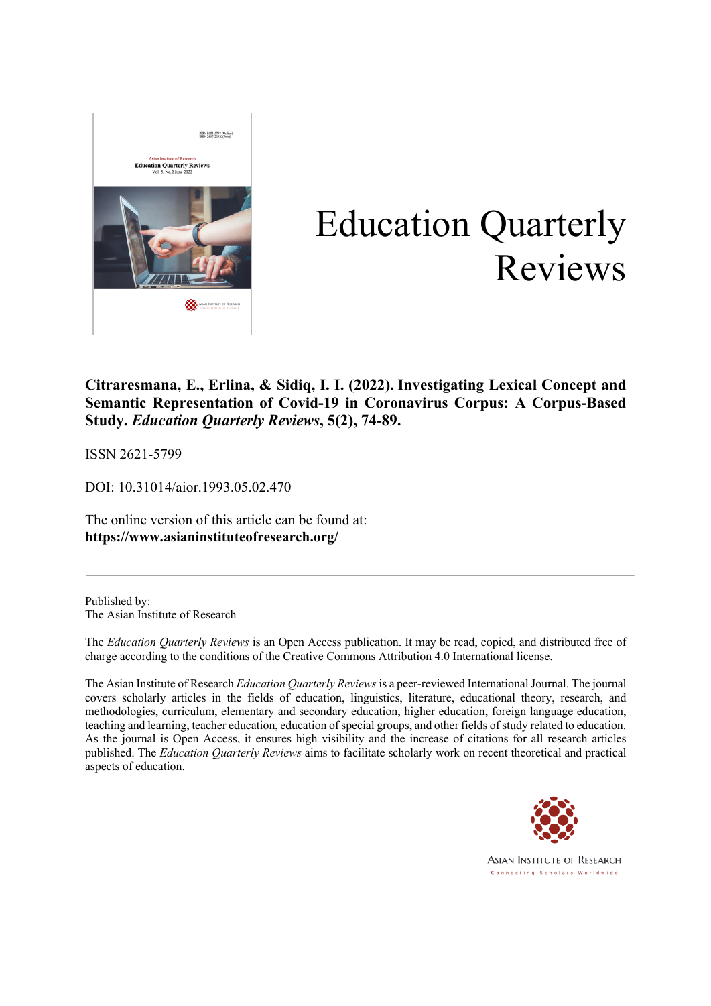

# Education Quarterly Reviews

**Citraresmana, E., Erlina, & Sidiq, I. I. (2022). Investigating Lexical Concept and Semantic Representation of Covid-19 in Coronavirus Corpus: A Corpus-Based Study.** *Education Quarterly Reviews***, 5(2), 74-89.**

ISSN 2621-5799

DOI: 10.31014/aior.1993.05.02.470

The online version of this article can be found at: **https://www.asianinstituteofresearch.org/**

Published by: The Asian Institute of Research

The *Education Quarterly Reviews* is an Open Access publication. It may be read, copied, and distributed free of charge according to the conditions of the Creative Commons Attribution 4.0 International license.

The Asian Institute of Research *Education Quarterly Reviews* is a peer-reviewed International Journal. The journal covers scholarly articles in the fields of education, linguistics, literature, educational theory, research, and methodologies, curriculum, elementary and secondary education, higher education, foreign language education, teaching and learning, teacher education, education of special groups, and other fields of study related to education. As the journal is Open Access, it ensures high visibility and the increase of citations for all research articles published. The *Education Quarterly Reviews* aims to facilitate scholarly work on recent theoretical and practical aspects of education.



**ASIAN INSTITUTE OF RESEARCH** Connecting Scholars Worldwide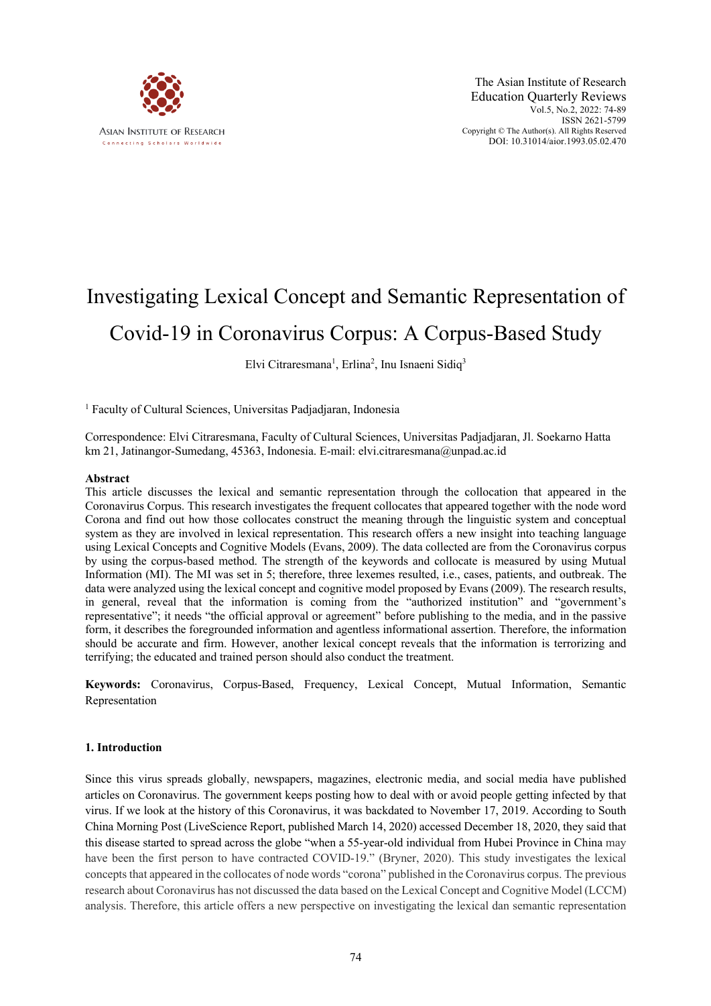

# Investigating Lexical Concept and Semantic Representation of Covid-19 in Coronavirus Corpus: A Corpus-Based Study

Elvi Citraresmana<sup>1</sup>, Erlina<sup>2</sup>, Inu Isnaeni Sidiq<sup>3</sup>

<sup>1</sup> Faculty of Cultural Sciences, Universitas Padjadjaran, Indonesia

Correspondence: Elvi Citraresmana, Faculty of Cultural Sciences, Universitas Padjadjaran, Jl. Soekarno Hatta km 21, Jatinangor-Sumedang, 45363, Indonesia. E-mail: elvi.citraresmana@unpad.ac.id

#### **Abstract**

This article discusses the lexical and semantic representation through the collocation that appeared in the Coronavirus Corpus. This research investigates the frequent collocates that appeared together with the node word Corona and find out how those collocates construct the meaning through the linguistic system and conceptual system as they are involved in lexical representation. This research offers a new insight into teaching language using Lexical Concepts and Cognitive Models (Evans, 2009). The data collected are from the Coronavirus corpus by using the corpus-based method. The strength of the keywords and collocate is measured by using Mutual Information (MI). The MI was set in 5; therefore, three lexemes resulted, i.e., cases, patients, and outbreak. The data were analyzed using the lexical concept and cognitive model proposed by Evans (2009). The research results, in general, reveal that the information is coming from the "authorized institution" and "government's representative"; it needs "the official approval or agreement" before publishing to the media, and in the passive form, it describes the foregrounded information and agentless informational assertion. Therefore, the information should be accurate and firm. However, another lexical concept reveals that the information is terrorizing and terrifying; the educated and trained person should also conduct the treatment.

**Keywords:** Coronavirus, Corpus-Based, Frequency, Lexical Concept, Mutual Information, Semantic Representation

#### **1. Introduction**

Since this virus spreads globally, newspapers, magazines, electronic media, and social media have published articles on Coronavirus. The government keeps posting how to deal with or avoid people getting infected by that virus. If we look at the history of this Coronavirus, it was backdated to November 17, 2019. According to South China Morning Post (LiveScience Report, published March 14, 2020) accessed December 18, 2020, they said that this disease started to spread across the globe "when a 55-year-old individual from Hubei Province in China may have been the first person to have contracted COVID-19." (Bryner, 2020). This study investigates the lexical concepts that appeared in the collocates of node words "corona" published in the Coronavirus corpus. The previous research about Coronavirus has not discussed the data based on the Lexical Concept and Cognitive Model (LCCM) analysis. Therefore, this article offers a new perspective on investigating the lexical dan semantic representation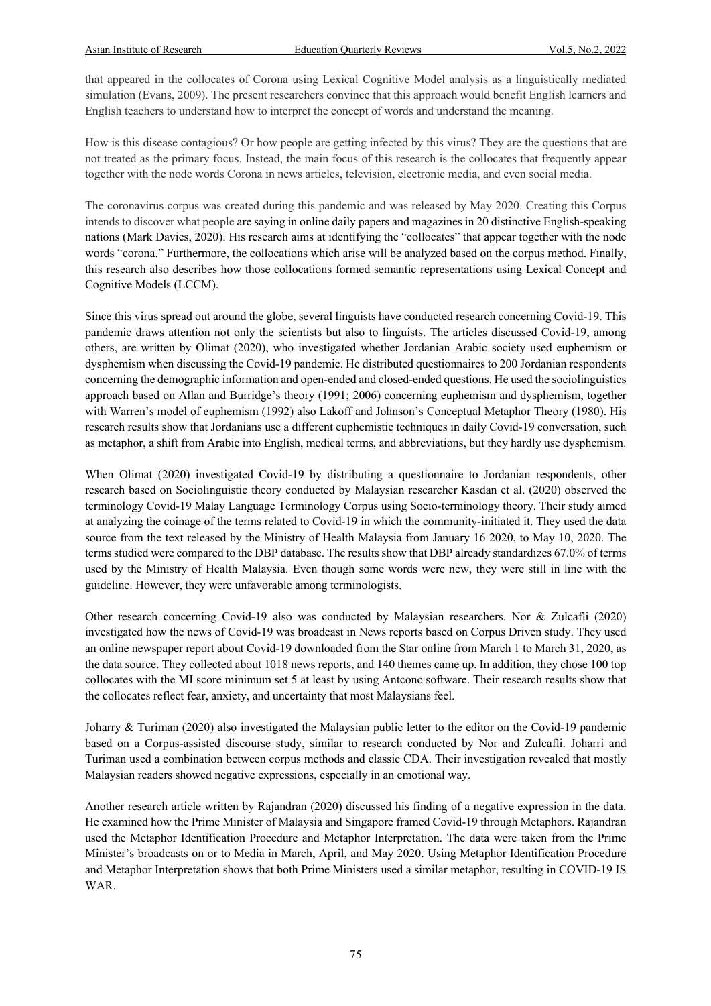that appeared in the collocates of Corona using Lexical Cognitive Model analysis as a linguistically mediated simulation (Evans, 2009). The present researchers convince that this approach would benefit English learners and English teachers to understand how to interpret the concept of words and understand the meaning.

How is this disease contagious? Or how people are getting infected by this virus? They are the questions that are not treated as the primary focus. Instead, the main focus of this research is the collocates that frequently appear together with the node words Corona in news articles, television, electronic media, and even social media.

The coronavirus corpus was created during this pandemic and was released by May 2020. Creating this Corpus intends to discover what people are saying in online daily papers and magazines in 20 distinctive English-speaking nations (Mark Davies, 2020). His research aims at identifying the "collocates" that appear together with the node words "corona." Furthermore, the collocations which arise will be analyzed based on the corpus method. Finally, this research also describes how those collocations formed semantic representations using Lexical Concept and Cognitive Models (LCCM).

Since this virus spread out around the globe, several linguists have conducted research concerning Covid-19. This pandemic draws attention not only the scientists but also to linguists. The articles discussed Covid-19, among others, are written by Olimat (2020), who investigated whether Jordanian Arabic society used euphemism or dysphemism when discussing the Covid-19 pandemic. He distributed questionnaires to 200 Jordanian respondents concerning the demographic information and open-ended and closed-ended questions. He used the sociolinguistics approach based on Allan and Burridge's theory (1991; 2006) concerning euphemism and dysphemism, together with Warren's model of euphemism (1992) also Lakoff and Johnson's Conceptual Metaphor Theory (1980). His research results show that Jordanians use a different euphemistic techniques in daily Covid-19 conversation, such as metaphor, a shift from Arabic into English, medical terms, and abbreviations, but they hardly use dysphemism.

When Olimat (2020) investigated Covid-19 by distributing a questionnaire to Jordanian respondents, other research based on Sociolinguistic theory conducted by Malaysian researcher Kasdan et al. (2020) observed the terminology Covid-19 Malay Language Terminology Corpus using Socio-terminology theory. Their study aimed at analyzing the coinage of the terms related to Covid-19 in which the community-initiated it. They used the data source from the text released by the Ministry of Health Malaysia from January 16 2020, to May 10, 2020. The terms studied were compared to the DBP database. The results show that DBP already standardizes 67.0% of terms used by the Ministry of Health Malaysia. Even though some words were new, they were still in line with the guideline. However, they were unfavorable among terminologists.

Other research concerning Covid-19 also was conducted by Malaysian researchers. Nor & Zulcafli (2020) investigated how the news of Covid-19 was broadcast in News reports based on Corpus Driven study. They used an online newspaper report about Covid-19 downloaded from the Star online from March 1 to March 31, 2020, as the data source. They collected about 1018 news reports, and 140 themes came up. In addition, they chose 100 top collocates with the MI score minimum set 5 at least by using Antconc software. Their research results show that the collocates reflect fear, anxiety, and uncertainty that most Malaysians feel.

Joharry & Turiman (2020) also investigated the Malaysian public letter to the editor on the Covid-19 pandemic based on a Corpus-assisted discourse study, similar to research conducted by Nor and Zulcafli. Joharri and Turiman used a combination between corpus methods and classic CDA. Their investigation revealed that mostly Malaysian readers showed negative expressions, especially in an emotional way.

Another research article written by Rajandran (2020) discussed his finding of a negative expression in the data. He examined how the Prime Minister of Malaysia and Singapore framed Covid-19 through Metaphors. Rajandran used the Metaphor Identification Procedure and Metaphor Interpretation. The data were taken from the Prime Minister's broadcasts on or to Media in March, April, and May 2020. Using Metaphor Identification Procedure and Metaphor Interpretation shows that both Prime Ministers used a similar metaphor, resulting in COVID-19 IS WAR.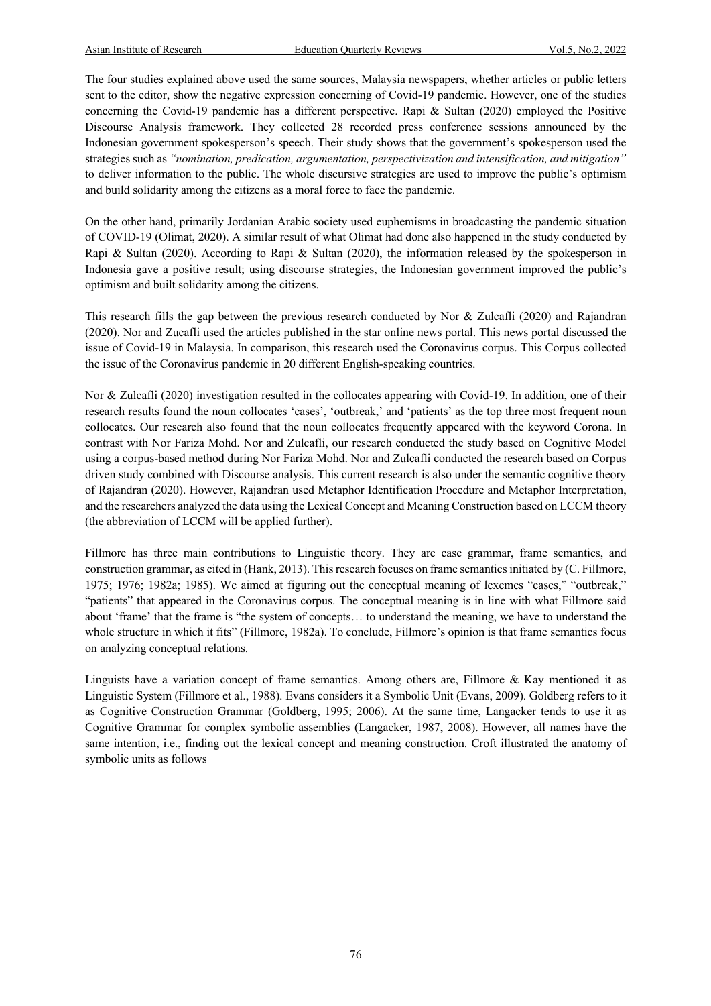The four studies explained above used the same sources, Malaysia newspapers, whether articles or public letters sent to the editor, show the negative expression concerning of Covid-19 pandemic. However, one of the studies concerning the Covid-19 pandemic has a different perspective. Rapi & Sultan (2020) employed the Positive Discourse Analysis framework. They collected 28 recorded press conference sessions announced by the Indonesian government spokesperson's speech. Their study shows that the government's spokesperson used the strategies such as *"nomination, predication, argumentation, perspectivization and intensification, and mitigation"*  to deliver information to the public. The whole discursive strategies are used to improve the public's optimism and build solidarity among the citizens as a moral force to face the pandemic.

On the other hand, primarily Jordanian Arabic society used euphemisms in broadcasting the pandemic situation of COVID-19 (Olimat, 2020). A similar result of what Olimat had done also happened in the study conducted by Rapi & Sultan (2020). According to Rapi & Sultan (2020), the information released by the spokesperson in Indonesia gave a positive result; using discourse strategies, the Indonesian government improved the public's optimism and built solidarity among the citizens.

This research fills the gap between the previous research conducted by Nor & Zulcafli (2020) and Rajandran (2020). Nor and Zucafli used the articles published in the star online news portal. This news portal discussed the issue of Covid-19 in Malaysia. In comparison, this research used the Coronavirus corpus. This Corpus collected the issue of the Coronavirus pandemic in 20 different English-speaking countries.

Nor & Zulcafli (2020) investigation resulted in the collocates appearing with Covid-19. In addition, one of their research results found the noun collocates 'cases', 'outbreak,' and 'patients' as the top three most frequent noun collocates. Our research also found that the noun collocates frequently appeared with the keyword Corona. In contrast with Nor Fariza Mohd. Nor and Zulcafli, our research conducted the study based on Cognitive Model using a corpus-based method during Nor Fariza Mohd. Nor and Zulcafli conducted the research based on Corpus driven study combined with Discourse analysis. This current research is also under the semantic cognitive theory of Rajandran (2020). However, Rajandran used Metaphor Identification Procedure and Metaphor Interpretation, and the researchers analyzed the data using the Lexical Concept and Meaning Construction based on LCCM theory (the abbreviation of LCCM will be applied further).

Fillmore has three main contributions to Linguistic theory. They are case grammar, frame semantics, and construction grammar, as cited in (Hank, 2013). This research focuses on frame semantics initiated by (C. Fillmore, 1975; 1976; 1982a; 1985). We aimed at figuring out the conceptual meaning of lexemes "cases," "outbreak," "patients" that appeared in the Coronavirus corpus. The conceptual meaning is in line with what Fillmore said about 'frame' that the frame is "the system of concepts… to understand the meaning, we have to understand the whole structure in which it fits" (Fillmore, 1982a). To conclude, Fillmore's opinion is that frame semantics focus on analyzing conceptual relations.

Linguists have a variation concept of frame semantics. Among others are, Fillmore & Kay mentioned it as Linguistic System (Fillmore et al., 1988). Evans considers it a Symbolic Unit (Evans, 2009). Goldberg refers to it as Cognitive Construction Grammar (Goldberg, 1995; 2006). At the same time, Langacker tends to use it as Cognitive Grammar for complex symbolic assemblies (Langacker, 1987, 2008). However, all names have the same intention, i.e., finding out the lexical concept and meaning construction. Croft illustrated the anatomy of symbolic units as follows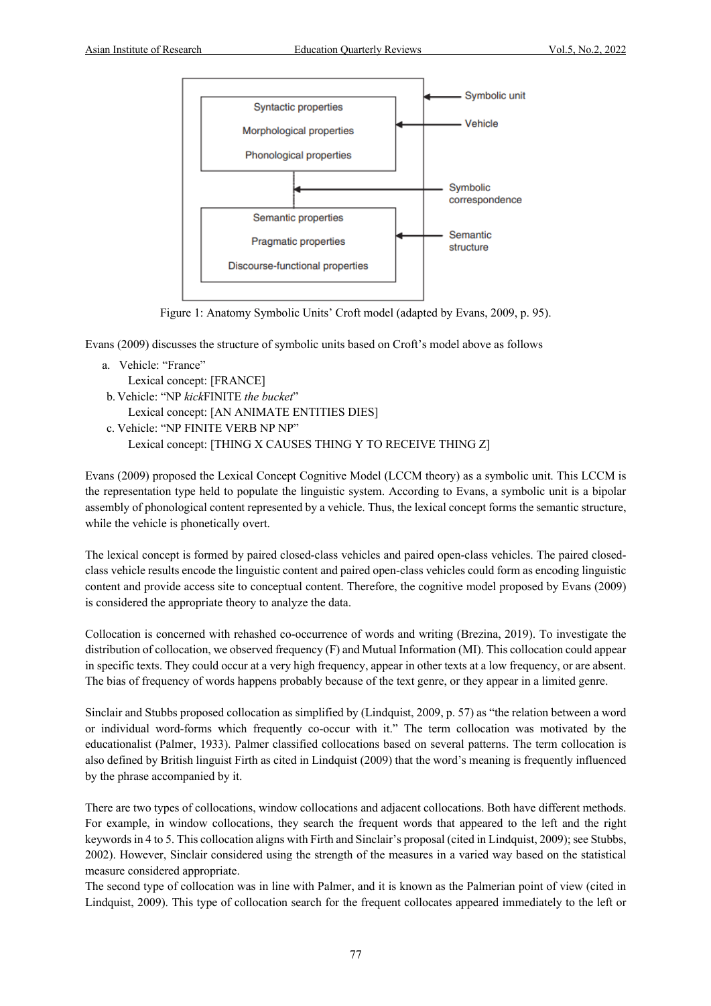

Figure 1: Anatomy Symbolic Units' Croft model (adapted by Evans, 2009, p. 95).

Evans (2009) discusses the structure of symbolic units based on Croft's model above as follows

- a. Vehicle: "France" Lexical concept: [FRANCE]
- b. Vehicle: "NP *kick*FINITE *the bucket*" Lexical concept: [AN ANIMATE ENTITIES DIES] c. Vehicle: "NP FINITE VERB NP NP" Lexical concept: [THING X CAUSES THING Y TO RECEIVE THING Z]

Evans (2009) proposed the Lexical Concept Cognitive Model (LCCM theory) as a symbolic unit. This LCCM is the representation type held to populate the linguistic system. According to Evans, a symbolic unit is a bipolar assembly of phonological content represented by a vehicle. Thus, the lexical concept forms the semantic structure, while the vehicle is phonetically overt.

The lexical concept is formed by paired closed-class vehicles and paired open-class vehicles. The paired closedclass vehicle results encode the linguistic content and paired open-class vehicles could form as encoding linguistic content and provide access site to conceptual content. Therefore, the cognitive model proposed by Evans (2009) is considered the appropriate theory to analyze the data.

Collocation is concerned with rehashed co-occurrence of words and writing (Brezina, 2019). To investigate the distribution of collocation, we observed frequency (F) and Mutual Information (MI). This collocation could appear in specific texts. They could occur at a very high frequency, appear in other texts at a low frequency, or are absent. The bias of frequency of words happens probably because of the text genre, or they appear in a limited genre.

Sinclair and Stubbs proposed collocation as simplified by (Lindquist, 2009, p. 57) as "the relation between a word or individual word-forms which frequently co-occur with it." The term collocation was motivated by the educationalist (Palmer, 1933). Palmer classified collocations based on several patterns. The term collocation is also defined by British linguist Firth as cited in Lindquist (2009) that the word's meaning is frequently influenced by the phrase accompanied by it.

There are two types of collocations, window collocations and adjacent collocations. Both have different methods. For example, in window collocations, they search the frequent words that appeared to the left and the right keywords in 4 to 5. This collocation aligns with Firth and Sinclair's proposal (cited in Lindquist, 2009); see Stubbs, 2002). However, Sinclair considered using the strength of the measures in a varied way based on the statistical measure considered appropriate.

The second type of collocation was in line with Palmer, and it is known as the Palmerian point of view (cited in Lindquist, 2009). This type of collocation search for the frequent collocates appeared immediately to the left or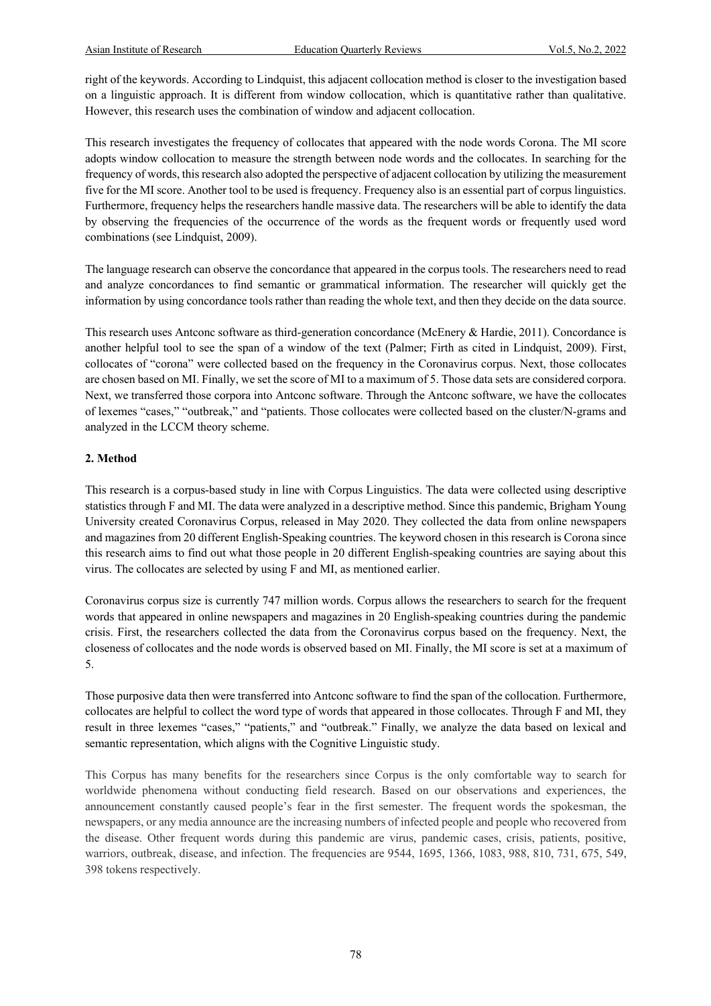right of the keywords. According to Lindquist, this adjacent collocation method is closer to the investigation based on a linguistic approach. It is different from window collocation, which is quantitative rather than qualitative. However, this research uses the combination of window and adjacent collocation.

This research investigates the frequency of collocates that appeared with the node words Corona. The MI score adopts window collocation to measure the strength between node words and the collocates. In searching for the frequency of words, this research also adopted the perspective of adjacent collocation by utilizing the measurement five for the MI score. Another tool to be used is frequency. Frequency also is an essential part of corpus linguistics. Furthermore, frequency helps the researchers handle massive data. The researchers will be able to identify the data by observing the frequencies of the occurrence of the words as the frequent words or frequently used word combinations (see Lindquist, 2009).

The language research can observe the concordance that appeared in the corpus tools. The researchers need to read and analyze concordances to find semantic or grammatical information. The researcher will quickly get the information by using concordance tools rather than reading the whole text, and then they decide on the data source.

This research uses Antconc software as third-generation concordance (McEnery & Hardie, 2011). Concordance is another helpful tool to see the span of a window of the text (Palmer; Firth as cited in Lindquist, 2009). First, collocates of "corona" were collected based on the frequency in the Coronavirus corpus. Next, those collocates are chosen based on MI. Finally, we set the score of MI to a maximum of 5. Those data sets are considered corpora. Next, we transferred those corpora into Antconc software. Through the Antconc software, we have the collocates of lexemes "cases," "outbreak," and "patients. Those collocates were collected based on the cluster/N-grams and analyzed in the LCCM theory scheme.

# **2. Method**

This research is a corpus-based study in line with Corpus Linguistics. The data were collected using descriptive statistics through F and MI. The data were analyzed in a descriptive method. Since this pandemic, Brigham Young University created Coronavirus Corpus, released in May 2020. They collected the data from online newspapers and magazines from 20 different English-Speaking countries. The keyword chosen in this research is Corona since this research aims to find out what those people in 20 different English-speaking countries are saying about this virus. The collocates are selected by using F and MI, as mentioned earlier.

Coronavirus corpus size is currently 747 million words. Corpus allows the researchers to search for the frequent words that appeared in online newspapers and magazines in 20 English-speaking countries during the pandemic crisis. First, the researchers collected the data from the Coronavirus corpus based on the frequency. Next, the closeness of collocates and the node words is observed based on MI. Finally, the MI score is set at a maximum of 5.

Those purposive data then were transferred into Antconc software to find the span of the collocation. Furthermore, collocates are helpful to collect the word type of words that appeared in those collocates. Through F and MI, they result in three lexemes "cases," "patients," and "outbreak." Finally, we analyze the data based on lexical and semantic representation, which aligns with the Cognitive Linguistic study.

This Corpus has many benefits for the researchers since Corpus is the only comfortable way to search for worldwide phenomena without conducting field research. Based on our observations and experiences, the announcement constantly caused people's fear in the first semester. The frequent words the spokesman, the newspapers, or any media announce are the increasing numbers of infected people and people who recovered from the disease. Other frequent words during this pandemic are virus, pandemic cases, crisis, patients, positive, warriors, outbreak, disease, and infection. The frequencies are 9544, 1695, 1366, 1083, 988, 810, 731, 675, 549, 398 tokens respectively.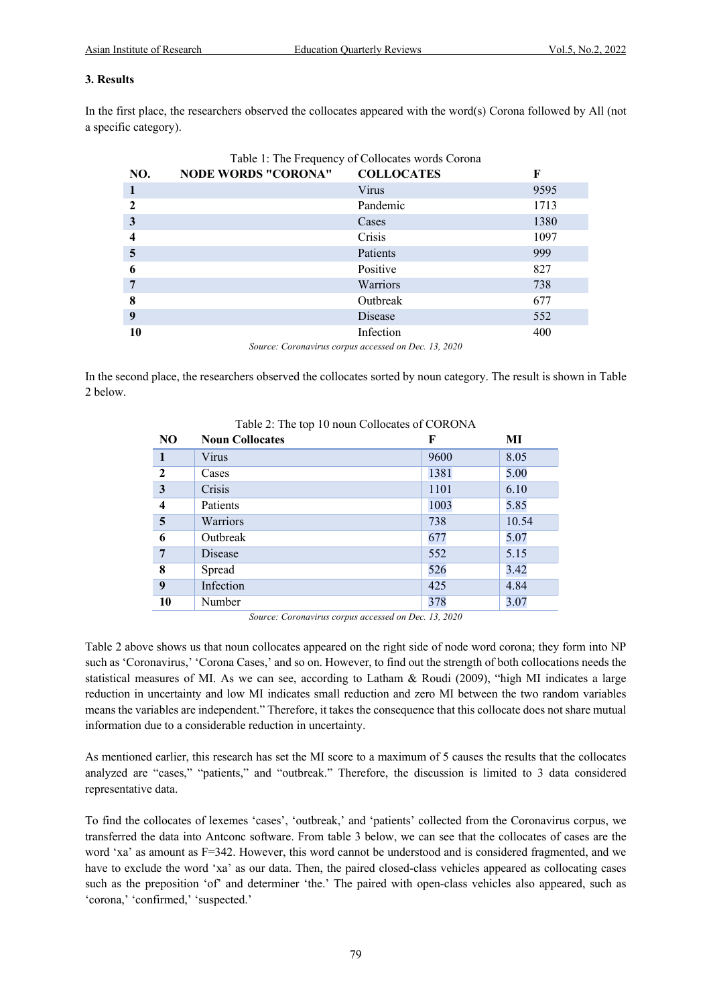#### **3. Results**

In the first place, the researchers observed the collocates appeared with the word(s) Corona followed by All (not a specific category).

| NO.          | <b>NODE WORDS "CORONA"</b> | <b>COLLOCATES</b> | F    |
|--------------|----------------------------|-------------------|------|
|              |                            | Virus             | 9595 |
| $\mathbf{2}$ |                            | Pandemic          | 1713 |
| 3            |                            | Cases             | 1380 |
| 4            |                            | Crisis            | 1097 |
| 5            |                            | Patients          | 999  |
| 6            |                            | Positive          | 827  |
|              |                            | Warriors          | 738  |
| 8            |                            | Outbreak          | 677  |
| 9            |                            | Disease           | 552  |
| 10           |                            | Infection         | 400  |

*Source: Coronavirus corpus accessed on Dec. 13, 2020*

In the second place, the researchers observed the collocates sorted by noun category. The result is shown in Table 2 below.

 $T<sub>11</sub>$ ,  $T<sub>2</sub>$ ,  $T<sub>1</sub>$ ,  $T<sub>2</sub>$ ,  $T<sub>3</sub>$ ,  $T<sub>4</sub>$ ,  $T<sub>5</sub>$ ,  $T<sub>6</sub>$ ,  $T<sub>7</sub>$ ,  $T<sub>8</sub>$ ,  $T<sub>9</sub>$ ,  $T<sub>1</sub>$ 

| N <sub>O</sub>          | <b>Noun Collocates</b> | F    | MI    |
|-------------------------|------------------------|------|-------|
| 1                       | Virus                  | 9600 | 8.05  |
| $\mathbf{2}$            | Cases                  | 1381 | 5.00  |
| $\mathbf{3}$            | Crisis                 | 1101 | 6.10  |
| $\overline{\mathbf{4}}$ | Patients               | 1003 | 5.85  |
| $\overline{\mathbf{5}}$ | Warriors               | 738  | 10.54 |
| 6                       | Outbreak               | 677  | 5.07  |
| 7                       | Disease                | 552  | 5.15  |
| 8                       | Spread                 | 526  | 3.42  |
| 9                       | Infection              | 425  | 4.84  |
| 10                      | Number                 | 378  | 3.07  |

*Source: Coronavirus corpus accessed on Dec. 13, 2020*

Table 2 above shows us that noun collocates appeared on the right side of node word corona; they form into NP such as 'Coronavirus,' 'Corona Cases,' and so on. However, to find out the strength of both collocations needs the statistical measures of MI. As we can see, according to Latham & Roudi (2009), "high MI indicates a large reduction in uncertainty and low MI indicates small reduction and zero MI between the two random variables means the variables are independent." Therefore, it takes the consequence that this collocate does not share mutual information due to a considerable reduction in uncertainty.

As mentioned earlier, this research has set the MI score to a maximum of 5 causes the results that the collocates analyzed are "cases," "patients," and "outbreak." Therefore, the discussion is limited to 3 data considered representative data.

To find the collocates of lexemes 'cases', 'outbreak,' and 'patients' collected from the Coronavirus corpus, we transferred the data into Antconc software. From table 3 below, we can see that the collocates of cases are the word 'xa' as amount as F=342. However, this word cannot be understood and is considered fragmented, and we have to exclude the word 'xa' as our data. Then, the paired closed-class vehicles appeared as collocating cases such as the preposition 'of' and determiner 'the.' The paired with open-class vehicles also appeared, such as 'corona,' 'confirmed,' 'suspected.'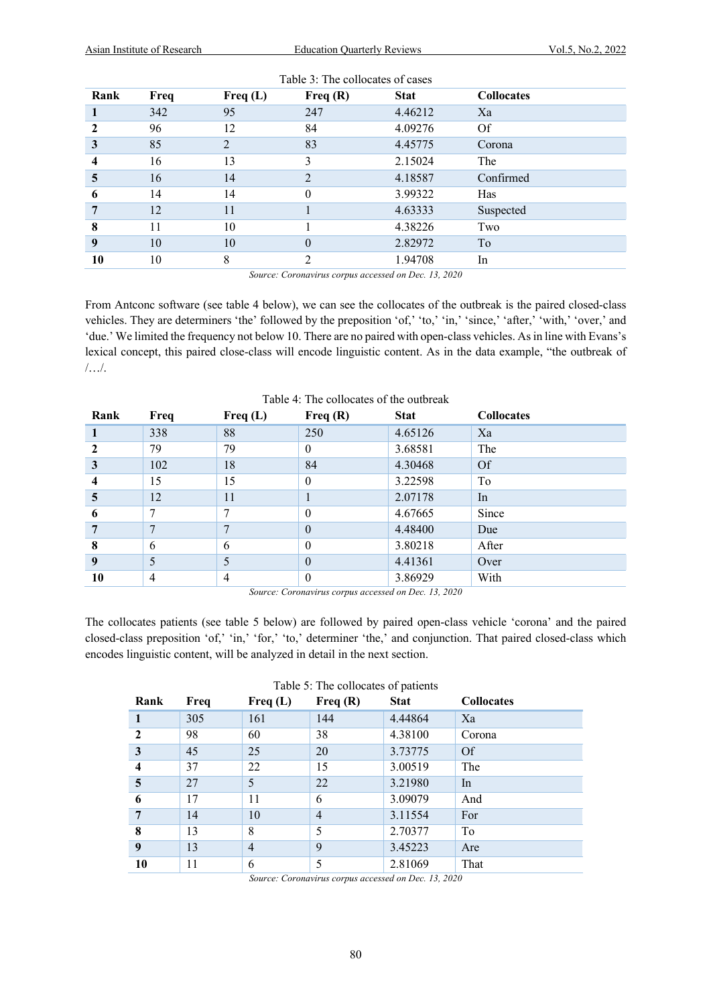Asian Institute of Research Education Quarterly Reviews Vol.5, No.2, 2022

| Table 3: The collocates of cases |      |            |                |             |                   |
|----------------------------------|------|------------|----------------|-------------|-------------------|
| Rank                             | Freq | Freq $(L)$ | Freq $(R)$     | <b>Stat</b> | <b>Collocates</b> |
|                                  | 342  | 95         | 247            | 4.46212     | Xa                |
|                                  | 96   | 12         | 84             | 4.09276     | Of                |
| 3                                | 85   | 2          | 83             | 4.45775     | Corona            |
| 4                                | 16   | 13         | 3              | 2.15024     | The               |
| 5                                | 16   | 14         | $\mathfrak{D}$ | 4.18587     | Confirmed         |
| 6                                | 14   | 14         | $\theta$       | 3.99322     | Has               |
|                                  | 12   | 11         |                | 4.63333     | Suspected         |
| 8                                | 11   | 10         |                | 4.38226     | Two               |
| 9                                | 10   | 10         | $\Omega$       | 2.82972     | To                |
| 10                               | 10   | 8          | $\mathfrak{D}$ | 1.94708     | In                |

*Source: Coronavirus corpus accessed on Dec. 13, 2020*

From Antconc software (see table 4 below), we can see the collocates of the outbreak is the paired closed-class vehicles. They are determiners 'the' followed by the preposition 'of,' 'to,' 'in,' 'since,' 'after,' 'with,' 'over,' and 'due.' We limited the frequency not below 10. There are no paired with open-class vehicles. As in line with Evans's lexical concept, this paired close-class will encode linguistic content. As in the data example, "the outbreak of /…/.

|      | Tuoto 1. The contocutes of the outereally |              |                |             |                   |
|------|-------------------------------------------|--------------|----------------|-------------|-------------------|
| Rank | Freq                                      | Freq $(L)$   | Freq $(R)$     | <b>Stat</b> | <b>Collocates</b> |
|      | 338                                       | 88           | 250            | 4.65126     | Xa                |
|      | 79                                        | 79           | $\theta$       | 3.68581     | The               |
| 3    | 102                                       | 18           | 84             | 4.30468     | <b>Of</b>         |
| 4    | 15                                        | 15           | $\overline{0}$ | 3.22598     | To                |
| 5    | 12                                        | 11           |                | 2.07178     | In                |
| 6    |                                           | 7            | $\theta$       | 4.67665     | Since             |
| 7    | 7                                         | $\mathbf{7}$ | $\Omega$       | 4.48400     | Due               |
| 8    | 6                                         | 6            | $\Omega$       | 3.80218     | After             |
| 9    | 5                                         | 5            | $\Omega$       | 4.41361     | Over              |
| 10   | 4                                         | 4            | $\Omega$       | 3.86929     | With              |

*Source: Coronavirus corpus accessed on Dec. 13, 2020*

The collocates patients (see table 5 below) are followed by paired open-class vehicle 'corona' and the paired closed-class preposition 'of,' 'in,' 'for,' 'to,' determiner 'the,' and conjunction. That paired closed-class which encodes linguistic content, will be analyzed in detail in the next section.

| Table 5: The collocates of patients |      |                |                |             |                   |
|-------------------------------------|------|----------------|----------------|-------------|-------------------|
| Rank                                | Freq | Freq $(L)$     | Freq $(R)$     | <b>Stat</b> | <b>Collocates</b> |
|                                     | 305  | 161            | 144            | 4.44864     | Xa                |
| $\mathbf{2}$                        | 98   | 60             | 38             | 4.38100     | Corona            |
| 3                                   | 45   | 25             | 20             | 3.73775     | <b>Of</b>         |
| 4                                   | 37   | 22             | 15             | 3.00519     | The               |
| 5                                   | 27   | 5              | 22             | 3.21980     | In                |
| 6                                   | 17   | 11             | 6              | 3.09079     | And               |
| 7                                   | 14   | 10             | $\overline{4}$ | 3.11554     | For               |
| 8                                   | 13   | 8              | 5              | 2.70377     | To                |
| 9                                   | 13   | $\overline{4}$ | 9              | 3.45223     | Are               |
| 10                                  | 11   | 6              | 5              | 2.81069     | That              |

*Source: Coronavirus corpus accessed on Dec. 13, 2020*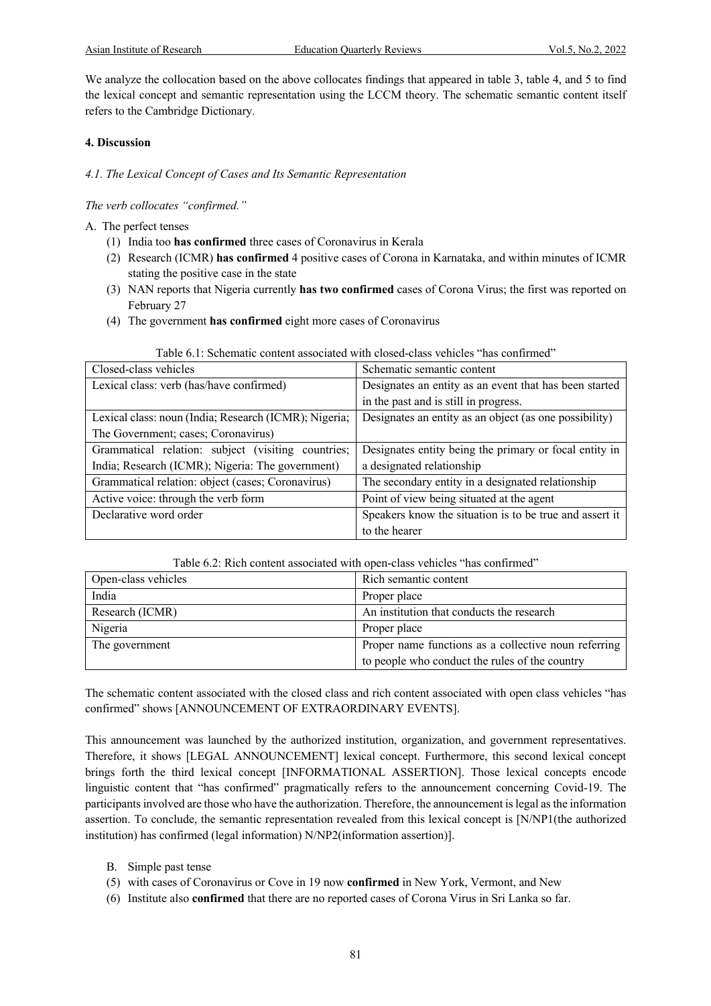We analyze the collocation based on the above collocates findings that appeared in table 3, table 4, and 5 to find the lexical concept and semantic representation using the LCCM theory. The schematic semantic content itself refers to the Cambridge Dictionary.

# **4. Discussion**

#### *4.1. The Lexical Concept of Cases and Its Semantic Representation*

#### *The verb collocates "confirmed."*

#### A. The perfect tenses

- (1) India too **has confirmed** three cases of Coronavirus in Kerala
- (2) Research (ICMR) **has confirmed** 4 positive cases of Corona in Karnataka, and within minutes of ICMR stating the positive case in the state
- (3) NAN reports that Nigeria currently **has two confirmed** cases of Corona Virus; the first was reported on February 27
- (4) The government **has confirmed** eight more cases of Coronavirus

| Table 6.1: Schematic content associated with closed-class vehicles "has confirmed" |  |  |  |
|------------------------------------------------------------------------------------|--|--|--|
|------------------------------------------------------------------------------------|--|--|--|

| Closed-class vehicles                                 | Schematic semantic content                              |
|-------------------------------------------------------|---------------------------------------------------------|
| Lexical class: verb (has/have confirmed)              | Designates an entity as an event that has been started  |
|                                                       | in the past and is still in progress.                   |
| Lexical class: noun (India; Research (ICMR); Nigeria; | Designates an entity as an object (as one possibility)  |
| The Government; cases; Coronavirus)                   |                                                         |
| Grammatical relation: subject (visiting countries;    | Designates entity being the primary or focal entity in  |
| India; Research (ICMR); Nigeria: The government)      | a designated relationship                               |
| Grammatical relation: object (cases; Coronavirus)     | The secondary entity in a designated relationship       |
| Active voice: through the verb form                   | Point of view being situated at the agent               |
| Declarative word order                                | Speakers know the situation is to be true and assert it |
|                                                       | to the hearer                                           |

Table 6.2: Rich content associated with open-class vehicles "has confirmed"

| Open-class vehicles | Rich semantic content                                |
|---------------------|------------------------------------------------------|
| India               | Proper place                                         |
| Research (ICMR)     | An institution that conducts the research            |
| Nigeria             | Proper place                                         |
| The government      | Proper name functions as a collective noun referring |
|                     | to people who conduct the rules of the country       |

The schematic content associated with the closed class and rich content associated with open class vehicles "has confirmed" shows [ANNOUNCEMENT OF EXTRAORDINARY EVENTS].

This announcement was launched by the authorized institution, organization, and government representatives. Therefore, it shows [LEGAL ANNOUNCEMENT] lexical concept. Furthermore, this second lexical concept brings forth the third lexical concept [INFORMATIONAL ASSERTION]. Those lexical concepts encode linguistic content that "has confirmed" pragmatically refers to the announcement concerning Covid-19. The participants involved are those who have the authorization. Therefore, the announcement is legal as the information assertion. To conclude, the semantic representation revealed from this lexical concept is [N/NP1(the authorized institution) has confirmed (legal information) N/NP2(information assertion)].

- B. Simple past tense
- (5) with cases of Coronavirus or Cove in 19 now **confirmed** in New York, Vermont, and New
- (6) Institute also **confirmed** that there are no reported cases of Corona Virus in Sri Lanka so far.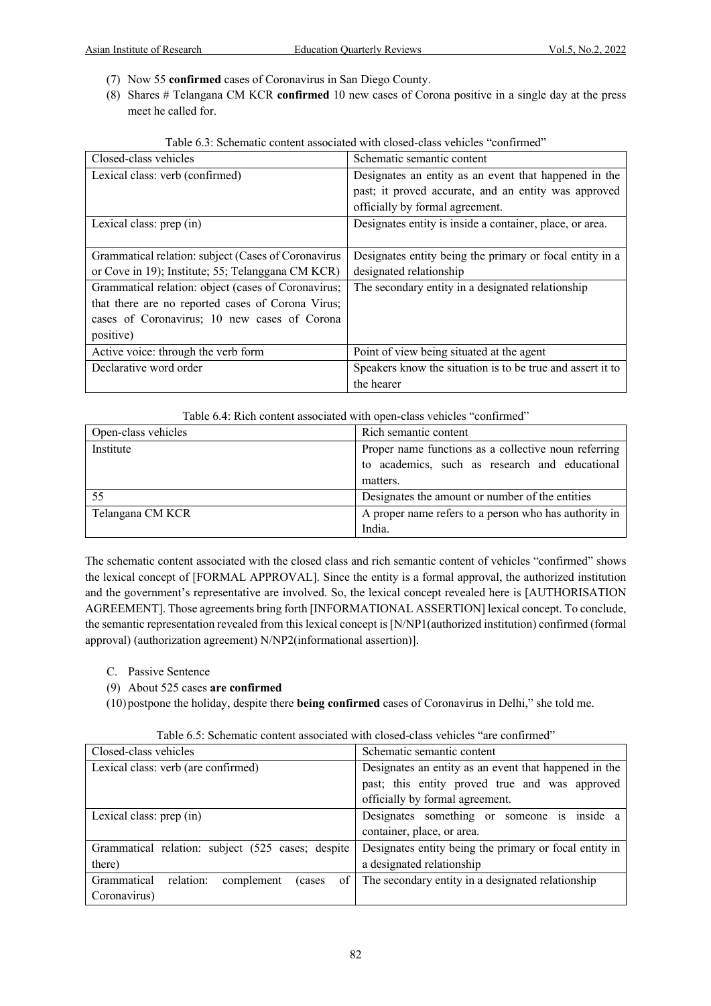- (7) Now 55 **confirmed** cases of Coronavirus in San Diego County.
- (8) Shares # Telangana CM KCR **confirmed** 10 new cases of Corona positive in a single day at the press meet he called for.

| Table 6.3: Schematic content associated with closed-class vehicles "confirmed" |  |  |
|--------------------------------------------------------------------------------|--|--|
|--------------------------------------------------------------------------------|--|--|

| Closed-class vehicles                               | Schematic semantic content                                 |
|-----------------------------------------------------|------------------------------------------------------------|
| Lexical class: verb (confirmed)                     | Designates an entity as an event that happened in the      |
|                                                     | past; it proved accurate, and an entity was approved       |
|                                                     | officially by formal agreement.                            |
| Lexical class: prep (in)                            | Designates entity is inside a container, place, or area.   |
|                                                     |                                                            |
| Grammatical relation: subject (Cases of Coronavirus | Designates entity being the primary or focal entity in a   |
| or Cove in 19); Institute; 55; Telanggana CM KCR)   | designated relationship                                    |
| Grammatical relation: object (cases of Coronavirus; | The secondary entity in a designated relationship          |
| that there are no reported cases of Corona Virus;   |                                                            |
| cases of Coronavirus; 10 new cases of Corona        |                                                            |
| positive)                                           |                                                            |
| Active voice: through the verb form                 | Point of view being situated at the agent                  |
| Declarative word order                              | Speakers know the situation is to be true and assert it to |
|                                                     | the hearer                                                 |

Table 6.4: Rich content associated with open-class vehicles "confirmed"

| Open-class vehicles | Rich semantic content                                 |  |
|---------------------|-------------------------------------------------------|--|
| Institute           | Proper name functions as a collective noun referring  |  |
|                     | to academics, such as research and educational        |  |
|                     | matters.                                              |  |
|                     | Designates the amount or number of the entities       |  |
| Telangana CM KCR    | A proper name refers to a person who has authority in |  |
|                     | India.                                                |  |

The schematic content associated with the closed class and rich semantic content of vehicles "confirmed" shows the lexical concept of [FORMAL APPROVAL]. Since the entity is a formal approval, the authorized institution and the government's representative are involved. So, the lexical concept revealed here is [AUTHORISATION AGREEMENT]. Those agreements bring forth [INFORMATIONAL ASSERTION] lexical concept. To conclude, the semantic representation revealed from this lexical concept is [N/NP1(authorized institution) confirmed (formal approval) (authorization agreement) N/NP2(informational assertion)].

- C. Passive Sentence
- (9) About 525 cases **are confirmed**

(10)postpone the holiday, despite there **being confirmed** cases of Coronavirus in Delhi," she told me.

| Closed-class vehicles                                   | Schematic semantic content                             |
|---------------------------------------------------------|--------------------------------------------------------|
| Lexical class: verb (are confirmed)                     | Designates an entity as an event that happened in the  |
|                                                         | past; this entity proved true and was approved         |
|                                                         | officially by formal agreement.                        |
| Lexical class: prep (in)                                | Designates something or someone is inside a            |
|                                                         | container, place, or area.                             |
| Grammatical relation: subject (525 cases; despite       | Designates entity being the primary or focal entity in |
| there)                                                  | a designated relationship                              |
| Grammatical<br>relation:<br>of<br>complement<br>(cases) | The secondary entity in a designated relationship      |
| Coronavirus)                                            |                                                        |

Table 6.5: Schematic content associated with closed-class vehicles "are confirmed"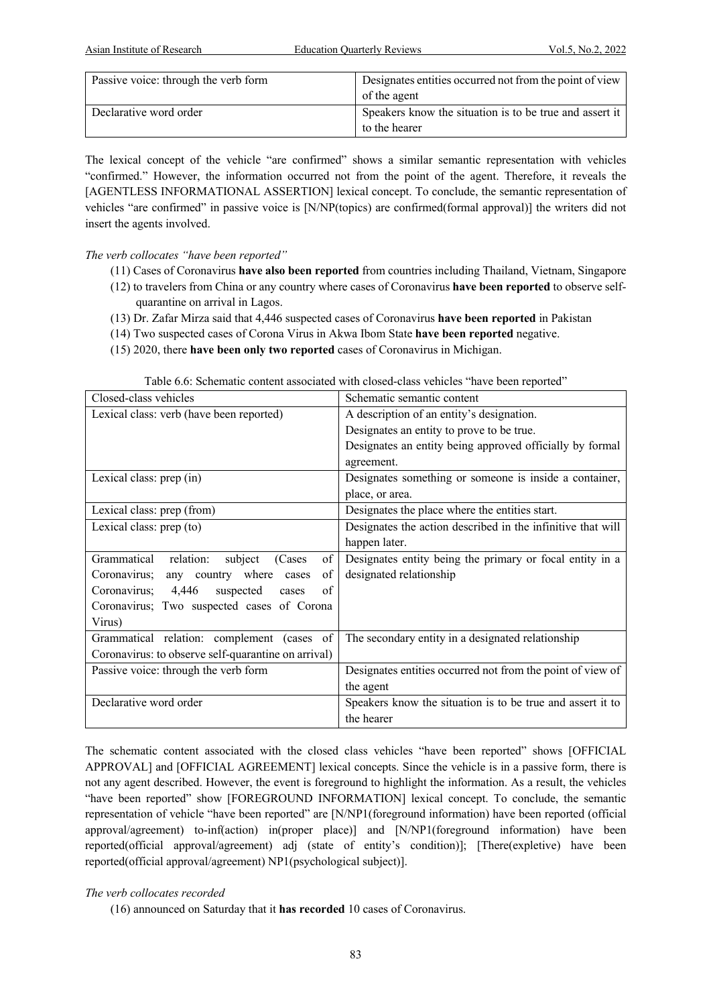| Passive voice: through the verb form | Designates entities occurred not from the point of view |
|--------------------------------------|---------------------------------------------------------|
|                                      | of the agent                                            |
| Declarative word order               | Speakers know the situation is to be true and assert it |
|                                      | to the hearer                                           |

The lexical concept of the vehicle "are confirmed" shows a similar semantic representation with vehicles "confirmed." However, the information occurred not from the point of the agent. Therefore, it reveals the [AGENTLESS INFORMATIONAL ASSERTION] lexical concept. To conclude, the semantic representation of vehicles "are confirmed" in passive voice is [N/NP(topics) are confirmed(formal approval)] the writers did not insert the agents involved.

*The verb collocates "have been reported"*

- (11) Cases of Coronavirus **have also been reported** from countries including Thailand, Vietnam, Singapore
- (12) to travelers from China or any country where cases of Coronavirus **have been reported** to observe selfquarantine on arrival in Lagos.
- (13) Dr. Zafar Mirza said that 4,446 suspected cases of Coronavirus **have been reported** in Pakistan
- (14) Two suspected cases of Corona Virus in Akwa Ibom State **have been reported** negative.
- (15) 2020, there **have been only two reported** cases of Coronavirus in Michigan.

| Closed-class vehicles                               | Schematic semantic content                                  |
|-----------------------------------------------------|-------------------------------------------------------------|
| Lexical class: verb (have been reported)            | A description of an entity's designation.                   |
|                                                     | Designates an entity to prove to be true.                   |
|                                                     | Designates an entity being approved officially by formal    |
|                                                     | agreement.                                                  |
| Lexical class: prep (in)                            | Designates something or someone is inside a container,      |
|                                                     | place, or area.                                             |
| Lexical class: prep (from)                          | Designates the place where the entities start.              |
| Lexical class: prep (to)                            | Designates the action described in the infinitive that will |
|                                                     | happen later.                                               |
| Grammatical relation:<br>of<br>subject<br>(Cases    | Designates entity being the primary or focal entity in a    |
| Coronavirus; any country where cases<br>of          | designated relationship                                     |
| of<br>Coronavirus;<br>4,446<br>suspected<br>cases   |                                                             |
| Coronavirus; Two suspected cases of Corona          |                                                             |
| Virus)                                              |                                                             |
| Grammatical relation: complement (cases of          | The secondary entity in a designated relationship           |
| Coronavirus: to observe self-quarantine on arrival) |                                                             |
| Passive voice: through the verb form                | Designates entities occurred not from the point of view of  |
|                                                     | the agent                                                   |
| Declarative word order                              | Speakers know the situation is to be true and assert it to  |
|                                                     | the hearer                                                  |

Table 6.6: Schematic content associated with closed-class vehicles "have been reported"

The schematic content associated with the closed class vehicles "have been reported" shows [OFFICIAL APPROVAL] and [OFFICIAL AGREEMENT] lexical concepts. Since the vehicle is in a passive form, there is not any agent described. However, the event is foreground to highlight the information. As a result, the vehicles "have been reported" show [FOREGROUND INFORMATION] lexical concept. To conclude, the semantic representation of vehicle "have been reported" are [N/NP1(foreground information) have been reported (official approval/agreement) to-inf(action) in(proper place)] and [N/NP1(foreground information) have been reported(official approval/agreement) adj (state of entity's condition)]; [There(expletive) have been reported(official approval/agreement) NP1(psychological subject)].

# *The verb collocates recorded*

(16) announced on Saturday that it **has recorded** 10 cases of Coronavirus.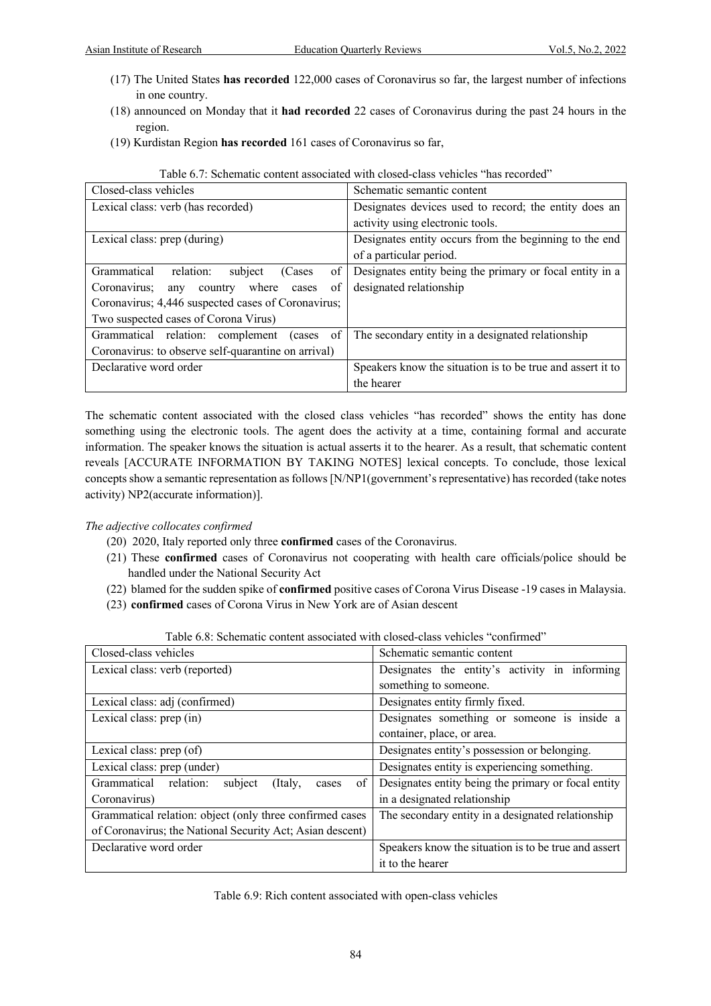- (17) The United States **has recorded** 122,000 cases of Coronavirus so far, the largest number of infections in one country.
- (18) announced on Monday that it **had recorded** 22 cases of Coronavirus during the past 24 hours in the region.
- (19) Kurdistan Region **has recorded** 161 cases of Coronavirus so far,

| Closed-class vehicles                               | Schematic semantic content                                 |
|-----------------------------------------------------|------------------------------------------------------------|
| Lexical class: verb (has recorded)                  | Designates devices used to record; the entity does an      |
|                                                     | activity using electronic tools.                           |
| Lexical class: prep (during)                        | Designates entity occurs from the beginning to the end     |
|                                                     | of a particular period.                                    |
| subject<br>of<br>Grammatical relation:<br>(Cases)   | Designates entity being the primary or focal entity in a   |
| country where cases<br>of<br>Coronavirus; any       | designated relationship                                    |
| Coronavirus; 4,446 suspected cases of Coronavirus;  |                                                            |
| Two suspected cases of Corona Virus)                |                                                            |
| Grammatical relation: complement (cases of          | The secondary entity in a designated relationship          |
| Coronavirus: to observe self-quarantine on arrival) |                                                            |
| Declarative word order                              | Speakers know the situation is to be true and assert it to |
|                                                     | the hearer                                                 |

The schematic content associated with the closed class vehicles "has recorded" shows the entity has done something using the electronic tools. The agent does the activity at a time, containing formal and accurate information. The speaker knows the situation is actual asserts it to the hearer. As a result, that schematic content reveals [ACCURATE INFORMATION BY TAKING NOTES] lexical concepts. To conclude, those lexical concepts show a semantic representation as follows [N/NP1(government's representative) has recorded (take notes activity) NP2(accurate information)].

# *The adjective collocates confirmed*

- (20) 2020, Italy reported only three **confirmed** cases of the Coronavirus.
- (21) These **confirmed** cases of Coronavirus not cooperating with health care officials/police should be handled under the National Security Act
- (22) blamed for the sudden spike of **confirmed** positive cases of Corona Virus Disease -19 cases in Malaysia.
- (23) **confirmed** cases of Corona Virus in New York are of Asian descent

| Closed-class vehicles                                      | Schematic semantic content                           |
|------------------------------------------------------------|------------------------------------------------------|
| Lexical class: verb (reported)                             | Designates the entity's activity in informing        |
|                                                            | something to someone.                                |
| Lexical class: adj (confirmed)                             | Designates entity firmly fixed.                      |
| Lexical class: prep (in)                                   | Designates something or someone is inside a          |
|                                                            | container, place, or area.                           |
| Lexical class: prep (of)                                   | Designates entity's possession or belonging.         |
| Lexical class: prep (under)                                | Designates entity is experiencing something.         |
| Grammatical relation:<br>of<br>subject<br>(Italy,<br>cases | Designates entity being the primary or focal entity  |
| Coronavirus)                                               | in a designated relationship                         |
| Grammatical relation: object (only three confirmed cases   | The secondary entity in a designated relationship    |
| of Coronavirus; the National Security Act; Asian descent)  |                                                      |
| Declarative word order                                     | Speakers know the situation is to be true and assert |
|                                                            | it to the hearer                                     |

Table 6.8: Schematic content associated with closed-class vehicles "confirmed"

Table 6.9: Rich content associated with open-class vehicles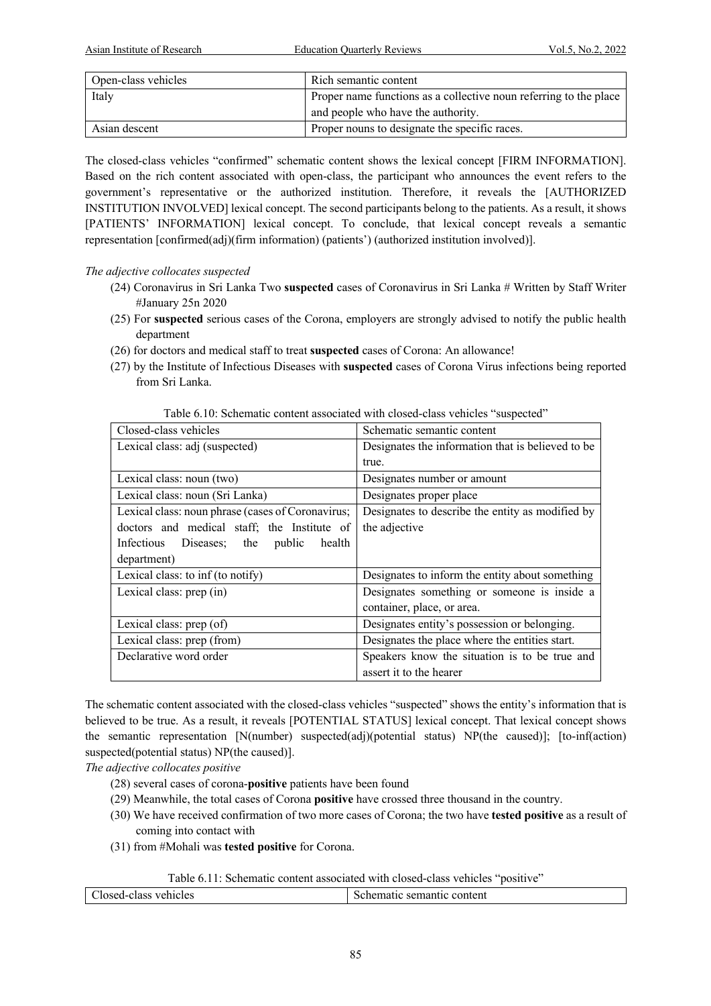| Asian Institute of Research<br><b>Education Ouarterly Reviews</b><br>No.2.<br>Vol. |
|------------------------------------------------------------------------------------|
|------------------------------------------------------------------------------------|

| Open-class vehicles | Rich semantic content                                             |
|---------------------|-------------------------------------------------------------------|
| Italy               | Proper name functions as a collective noun referring to the place |
|                     | and people who have the authority.                                |
| Asian descent       | Proper nouns to designate the specific races.                     |

The closed-class vehicles "confirmed" schematic content shows the lexical concept [FIRM INFORMATION]. Based on the rich content associated with open-class, the participant who announces the event refers to the government's representative or the authorized institution. Therefore, it reveals the [AUTHORIZED INSTITUTION INVOLVED] lexical concept. The second participants belong to the patients. As a result, it shows [PATIENTS' INFORMATION] lexical concept. To conclude, that lexical concept reveals a semantic representation [confirmed(adj)(firm information) (patients') (authorized institution involved)].

# *The adjective collocates suspected*

- (24) Coronavirus in Sri Lanka Two **suspected** cases of Coronavirus in Sri Lanka # Written by Staff Writer #January 25n 2020
- (25) For **suspected** serious cases of the Corona, employers are strongly advised to notify the public health department
- (26) for doctors and medical staff to treat **suspected** cases of Corona: An allowance!
- (27) by the Institute of Infectious Diseases with **suspected** cases of Corona Virus infections being reported from Sri Lanka.

| Closed-class vehicles                             | Schematic semantic content                        |
|---------------------------------------------------|---------------------------------------------------|
| Lexical class: adj (suspected)                    | Designates the information that is believed to be |
|                                                   | true.                                             |
| Lexical class: noun (two)                         | Designates number or amount                       |
| Lexical class: noun (Sri Lanka)                   | Designates proper place                           |
| Lexical class: noun phrase (cases of Coronavirus; | Designates to describe the entity as modified by  |
| doctors and medical staff; the Institute of       | the adjective                                     |
| Infectious Diseases; the public<br>health         |                                                   |
| department)                                       |                                                   |
| Lexical class: to inf (to notify)                 | Designates to inform the entity about something   |
| Lexical class: prep (in)                          | Designates something or someone is inside a       |
|                                                   | container, place, or area.                        |
| Lexical class: prep (of)                          | Designates entity's possession or belonging.      |
| Lexical class: prep (from)                        | Designates the place where the entities start.    |
| Declarative word order                            | Speakers know the situation is to be true and     |
|                                                   | assert it to the hearer                           |

Table 6.10: Schematic content associated with closed-class vehicles "suspected"

The schematic content associated with the closed-class vehicles "suspected" shows the entity's information that is believed to be true. As a result, it reveals [POTENTIAL STATUS] lexical concept. That lexical concept shows the semantic representation [N(number) suspected(adj)(potential status) NP(the caused)]; [to-inf(action) suspected(potential status) NP(the caused)].

*The adjective collocates positive*

- (28) several cases of corona-**positive** patients have been found
- (29) Meanwhile, the total cases of Corona **positive** have crossed three thousand in the country.
- (30) We have received confirmation of two more cases of Corona; the two have **tested positive** as a result of coming into contact with
- (31) from #Mohali was **tested positive** for Corona.

Table 6.11: Schematic content associated with closed-class vehicles "positive"

| ле:<br>. и | content<br>не<br>твяне<br>-шашк.<br>₩ |
|------------|---------------------------------------|
|            |                                       |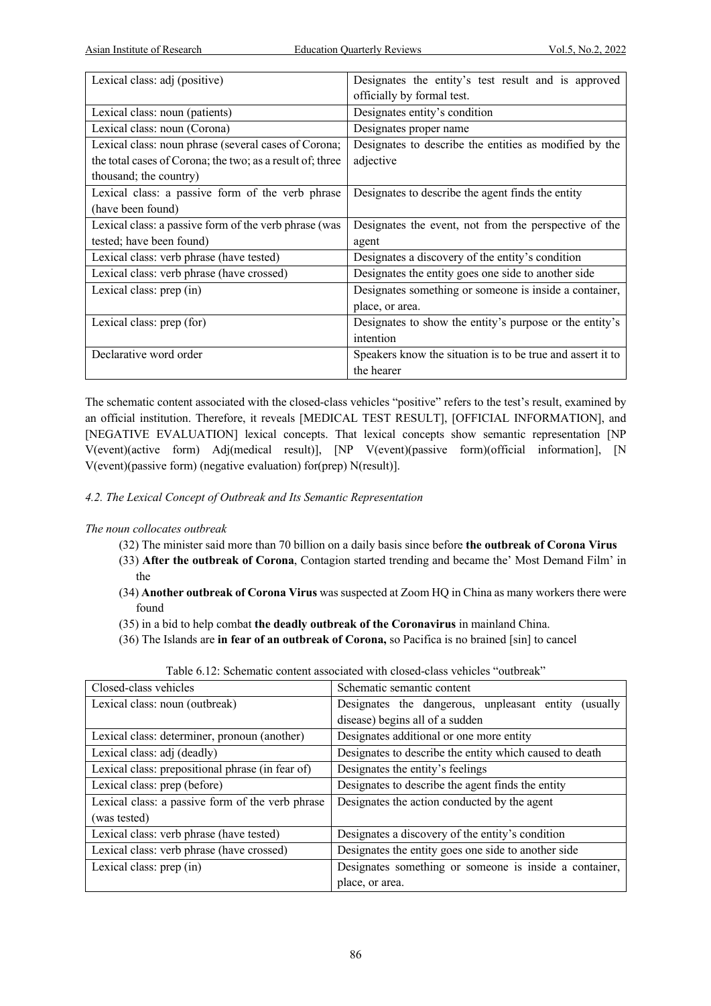| Lexical class: adj (positive)                             | Designates the entity's test result and is approved        |
|-----------------------------------------------------------|------------------------------------------------------------|
|                                                           | officially by formal test.                                 |
| Lexical class: noun (patients)                            | Designates entity's condition                              |
| Lexical class: noun (Corona)                              | Designates proper name                                     |
| Lexical class: noun phrase (several cases of Corona;      | Designates to describe the entities as modified by the     |
| the total cases of Corona; the two; as a result of; three | adjective                                                  |
| thousand; the country)                                    |                                                            |
| Lexical class: a passive form of the verb phrase          | Designates to describe the agent finds the entity          |
| (have been found)                                         |                                                            |
| Lexical class: a passive form of the verb phrase (was     | Designates the event, not from the perspective of the      |
| tested; have been found)                                  | agent                                                      |
| Lexical class: verb phrase (have tested)                  | Designates a discovery of the entity's condition           |
| Lexical class: verb phrase (have crossed)                 | Designates the entity goes one side to another side        |
| Lexical class: prep (in)                                  | Designates something or someone is inside a container,     |
|                                                           | place, or area.                                            |
| Lexical class: prep (for)                                 | Designates to show the entity's purpose or the entity's    |
|                                                           | intention                                                  |
| Declarative word order                                    | Speakers know the situation is to be true and assert it to |
|                                                           | the hearer                                                 |

The schematic content associated with the closed-class vehicles "positive" refers to the test's result, examined by an official institution. Therefore, it reveals [MEDICAL TEST RESULT], [OFFICIAL INFORMATION], and [NEGATIVE EVALUATION] lexical concepts. That lexical concepts show semantic representation [NP V(event)(active form) Adj(medical result)], [NP V(event)(passive form)(official information], [N V(event)(passive form) (negative evaluation) for(prep) N(result)].

# *4.2. The Lexical Concept of Outbreak and Its Semantic Representation*

*The noun collocates outbreak*

- (32) The minister said more than 70 billion on a daily basis since before **the outbreak of Corona Virus**
- (33) **After the outbreak of Corona**, Contagion started trending and became the' Most Demand Film' in the
- (34) **Another outbreak of Corona Virus** was suspected at Zoom HQ in China as many workers there were found
- (35) in a bid to help combat **the deadly outbreak of the Coronavirus** in mainland China.
- (36) The Islands are **in fear of an outbreak of Corona,** so Pacifica is no brained [sin] to cancel

| Closed-class vehicles                            | Schematic semantic content                               |
|--------------------------------------------------|----------------------------------------------------------|
| Lexical class: noun (outbreak)                   | Designates the dangerous, unpleasant entity<br>(usually) |
|                                                  | disease) begins all of a sudden                          |
| Lexical class: determiner, pronoun (another)     | Designates additional or one more entity                 |
| Lexical class: adj (deadly)                      | Designates to describe the entity which caused to death  |
| Lexical class: prepositional phrase (in fear of) | Designates the entity's feelings                         |
| Lexical class: prep (before)                     | Designates to describe the agent finds the entity        |
| Lexical class: a passive form of the verb phrase | Designates the action conducted by the agent             |
| (was tested)                                     |                                                          |
| Lexical class: verb phrase (have tested)         | Designates a discovery of the entity's condition         |
| Lexical class: verb phrase (have crossed)        | Designates the entity goes one side to another side      |
| Lexical class: prep (in)                         | Designates something or someone is inside a container,   |
|                                                  | place, or area.                                          |

Table 6.12: Schematic content associated with closed-class vehicles "outbreak"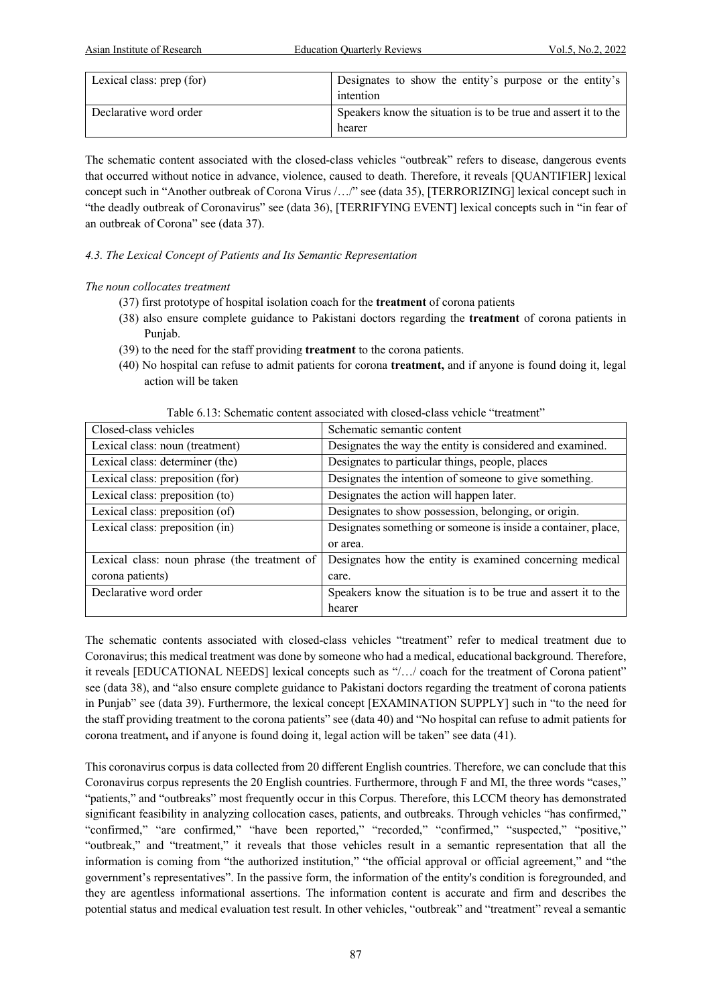| Asian Institute of Research | <b>Education Ouarterly Reviews</b> | Vol.5, No.2, 2022 |
|-----------------------------|------------------------------------|-------------------|

| Lexical class: prep (for) | Designates to show the entity's purpose or the entity's<br>intention     |
|---------------------------|--------------------------------------------------------------------------|
| Declarative word order    | Speakers know the situation is to be true and assert it to the<br>hearer |

The schematic content associated with the closed-class vehicles "outbreak" refers to disease, dangerous events that occurred without notice in advance, violence, caused to death. Therefore, it reveals [QUANTIFIER] lexical concept such in "Another outbreak of Corona Virus /…/" see (data 35), [TERRORIZING] lexical concept such in "the deadly outbreak of Coronavirus" see (data 36), [TERRIFYING EVENT] lexical concepts such in "in fear of an outbreak of Corona" see (data 37).

# *4.3. The Lexical Concept of Patients and Its Semantic Representation*

# *The noun collocates treatment*

- (37) first prototype of hospital isolation coach for the **treatment** of corona patients
- (38) also ensure complete guidance to Pakistani doctors regarding the **treatment** of corona patients in Punjab.
- (39) to the need for the staff providing **treatment** to the corona patients.
- (40) No hospital can refuse to admit patients for corona **treatment,** and if anyone is found doing it, legal action will be taken

| Closed-class vehicles                        | Schematic semantic content                                     |
|----------------------------------------------|----------------------------------------------------------------|
| Lexical class: noun (treatment)              | Designates the way the entity is considered and examined.      |
| Lexical class: determiner (the)              | Designates to particular things, people, places                |
| Lexical class: preposition (for)             | Designates the intention of someone to give something.         |
| Lexical class: preposition (to)              | Designates the action will happen later.                       |
| Lexical class: preposition (of)              | Designates to show possession, belonging, or origin.           |
| Lexical class: preposition (in)              | Designates something or someone is inside a container, place,  |
|                                              | or area.                                                       |
| Lexical class: noun phrase (the treatment of | Designates how the entity is examined concerning medical       |
| corona patients)                             | care.                                                          |
| Declarative word order                       | Speakers know the situation is to be true and assert it to the |
|                                              | hearer                                                         |

Table 6.13: Schematic content associated with closed-class vehicle "treatment"

The schematic contents associated with closed-class vehicles "treatment" refer to medical treatment due to Coronavirus; this medical treatment was done by someone who had a medical, educational background. Therefore, it reveals [EDUCATIONAL NEEDS] lexical concepts such as "/…/ coach for the treatment of Corona patient" see (data 38), and "also ensure complete guidance to Pakistani doctors regarding the treatment of corona patients in Punjab" see (data 39). Furthermore, the lexical concept [EXAMINATION SUPPLY] such in "to the need for the staff providing treatment to the corona patients" see (data 40) and "No hospital can refuse to admit patients for corona treatment**,** and if anyone is found doing it, legal action will be taken" see data (41).

This coronavirus corpus is data collected from 20 different English countries. Therefore, we can conclude that this Coronavirus corpus represents the 20 English countries. Furthermore, through F and MI, the three words "cases," "patients," and "outbreaks" most frequently occur in this Corpus. Therefore, this LCCM theory has demonstrated significant feasibility in analyzing collocation cases, patients, and outbreaks. Through vehicles "has confirmed," "confirmed," "are confirmed," "have been reported," "recorded," "confirmed," "suspected," "positive," "outbreak," and "treatment," it reveals that those vehicles result in a semantic representation that all the information is coming from "the authorized institution," "the official approval or official agreement," and "the government's representatives". In the passive form, the information of the entity's condition is foregrounded, and they are agentless informational assertions. The information content is accurate and firm and describes the potential status and medical evaluation test result. In other vehicles, "outbreak" and "treatment" reveal a semantic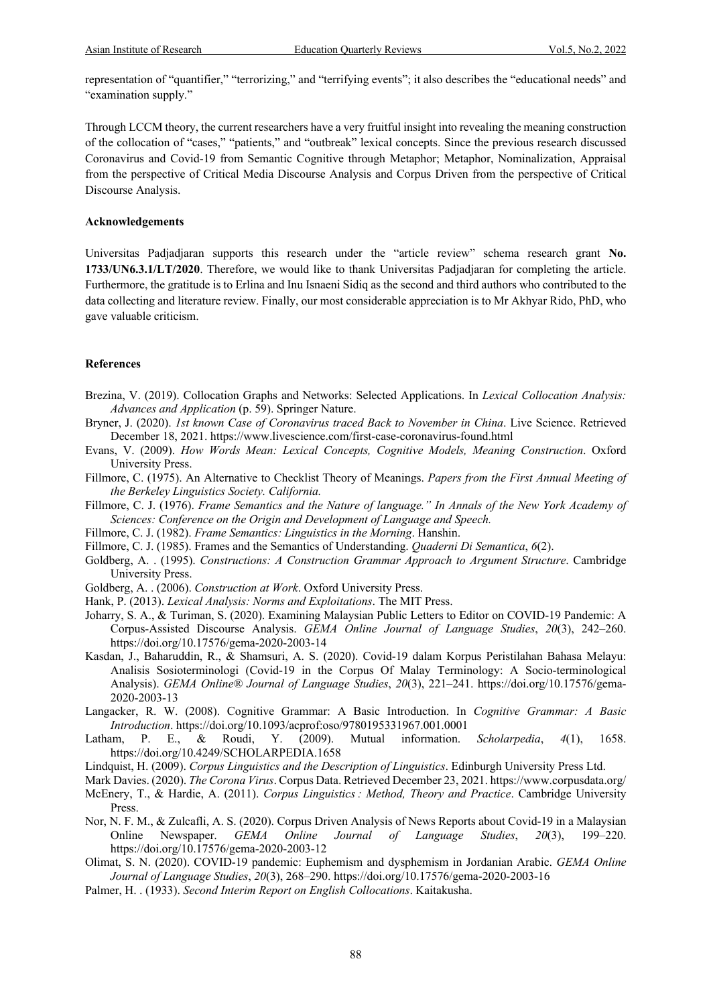representation of "quantifier," "terrorizing," and "terrifying events"; it also describes the "educational needs" and "examination supply."

Through LCCM theory, the current researchers have a very fruitful insight into revealing the meaning construction of the collocation of "cases," "patients," and "outbreak" lexical concepts. Since the previous research discussed Coronavirus and Covid-19 from Semantic Cognitive through Metaphor; Metaphor, Nominalization, Appraisal from the perspective of Critical Media Discourse Analysis and Corpus Driven from the perspective of Critical Discourse Analysis.

#### **Acknowledgements**

Universitas Padjadjaran supports this research under the "article review" schema research grant **No. 1733/UN6.3.1/LT/2020**. Therefore, we would like to thank Universitas Padjadjaran for completing the article. Furthermore, the gratitude is to Erlina and Inu Isnaeni Sidiq as the second and third authors who contributed to the data collecting and literature review. Finally, our most considerable appreciation is to Mr Akhyar Rido, PhD, who gave valuable criticism.

#### **References**

- Brezina, V. (2019). Collocation Graphs and Networks: Selected Applications. In *Lexical Collocation Analysis: Advances and Application* (p. 59). Springer Nature.
- Bryner, J. (2020). *1st known Case of Coronavirus traced Back to November in China*. Live Science. Retrieved December 18, 2021. https://www.livescience.com/first-case-coronavirus-found.html
- Evans, V. (2009). *How Words Mean: Lexical Concepts, Cognitive Models, Meaning Construction*. Oxford University Press.
- Fillmore, C. (1975). An Alternative to Checklist Theory of Meanings. *Papers from the First Annual Meeting of the Berkeley Linguistics Society. California.*
- Fillmore, C. J. (1976). *Frame Semantics and the Nature of language." In Annals of the New York Academy of Sciences: Conference on the Origin and Development of Language and Speech.*
- Fillmore, C. J. (1982). *Frame Semantics: Linguistics in the Morning*. Hanshin.
- Fillmore, C. J. (1985). Frames and the Semantics of Understanding. *Quaderni Di Semantica*, *6*(2).
- Goldberg, A. . (1995). *Constructions: A Construction Grammar Approach to Argument Structure*. Cambridge University Press.
- Goldberg, A. . (2006). *Construction at Work*. Oxford University Press.
- Hank, P. (2013). *Lexical Analysis: Norms and Exploitations*. The MIT Press.
- Joharry, S. A., & Turiman, S. (2020). Examining Malaysian Public Letters to Editor on COVID-19 Pandemic: A Corpus-Assisted Discourse Analysis. *GEMA Online Journal of Language Studies*, *20*(3), 242–260. https://doi.org/10.17576/gema-2020-2003-14
- Kasdan, J., Baharuddin, R., & Shamsuri, A. S. (2020). Covid-19 dalam Korpus Peristilahan Bahasa Melayu: Analisis Sosioterminologi (Covid-19 in the Corpus Of Malay Terminology: A Socio-terminological Analysis). *GEMA Online® Journal of Language Studies*, *20*(3), 221–241. https://doi.org/10.17576/gema-2020-2003-13
- Langacker, R. W. (2008). Cognitive Grammar: A Basic Introduction. In *Cognitive Grammar: A Basic Introduction*. https://doi.org/10.1093/acprof:oso/9780195331967.001.0001
- Latham, P. E., & Roudi, Y. (2009). Mutual information. *Scholarpedia*, *4*(1), 1658. https://doi.org/10.4249/SCHOLARPEDIA.1658
- Lindquist, H. (2009). *Corpus Linguistics and the Description of Linguistics*. Edinburgh University Press Ltd.
- Mark Davies. (2020). *The Corona Virus*. Corpus Data. Retrieved December 23, 2021. https://www.corpusdata.org/
- McEnery, T., & Hardie, A. (2011). *Corpus Linguistics : Method, Theory and Practice*. Cambridge University Press.
- Nor, N. F. M., & Zulcafli, A. S. (2020). Corpus Driven Analysis of News Reports about Covid-19 in a Malaysian Online Newspaper. *GEMA Online Journal of Language Studies*, *20*(3), 199–220. https://doi.org/10.17576/gema-2020-2003-12
- Olimat, S. N. (2020). COVID-19 pandemic: Euphemism and dysphemism in Jordanian Arabic. *GEMA Online Journal of Language Studies*, *20*(3), 268–290. https://doi.org/10.17576/gema-2020-2003-16
- Palmer, H. . (1933). *Second Interim Report on English Collocations*. Kaitakusha.